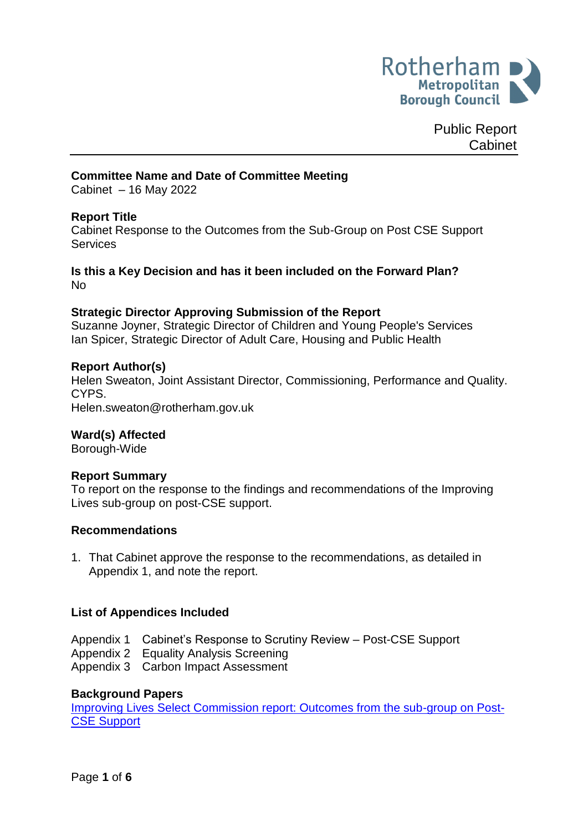

Public Report Cabinet

### **Committee Name and Date of Committee Meeting**

Cabinet – 16 May 2022

### **Report Title**

Cabinet Response to the Outcomes from the Sub-Group on Post CSE Support **Services** 

### **Is this a Key Decision and has it been included on the Forward Plan?** No

#### **Strategic Director Approving Submission of the Report**

Suzanne Joyner, Strategic Director of Children and Young People's Services Ian Spicer, Strategic Director of Adult Care, Housing and Public Health

#### **Report Author(s)**

<span id="page-0-0"></span>Helen Sweaton, Joint Assistant Director, Commissioning, Performance and Quality. CYPS.

Helen.sweaton@rotherham.gov.uk

#### **Ward(s) Affected**

Borough-Wide

#### **Report Summary**

To report on the response to the findings and recommendations of the Improving Lives sub-group on post-CSE support.

#### **Recommendations**

1. That Cabinet approve the response to the recommendations, as detailed in Appendix 1, and note the report.

#### **List of Appendices Included**

- Appendix 1 Cabinet's Response to Scrutiny Review Post-CSE Support
- Appendix 2 Equality Analysis Screening
- Appendix 3 Carbon Impact Assessment

#### **Background Papers**

[Improving Lives Select Commission report: Outcomes from the sub-group on Post-](https://moderngov.rotherham.gov.uk/documents/s134770/Report%20-%20Outcomes%20from%20ILSC%20Sub%20Group%20on%20Post%20CSE%20Support.pdf)[CSE Support](https://moderngov.rotherham.gov.uk/documents/s134770/Report%20-%20Outcomes%20from%20ILSC%20Sub%20Group%20on%20Post%20CSE%20Support.pdf)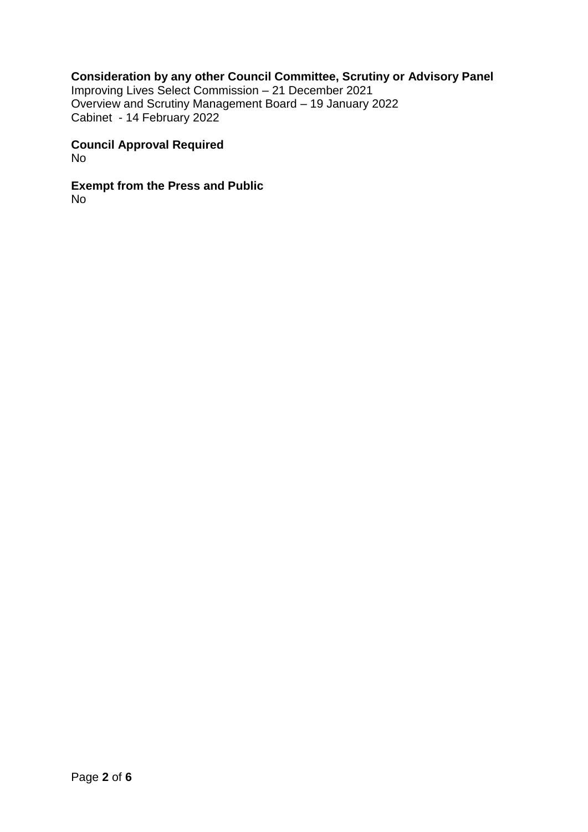## **Consideration by any other Council Committee, Scrutiny or Advisory Panel**

Improving Lives Select Commission – 21 December 2021 Overview and Scrutiny Management Board – 19 January 2022 Cabinet - 14 February 2022

#### **Council Approval Required** No

**Exempt from the Press and Public** No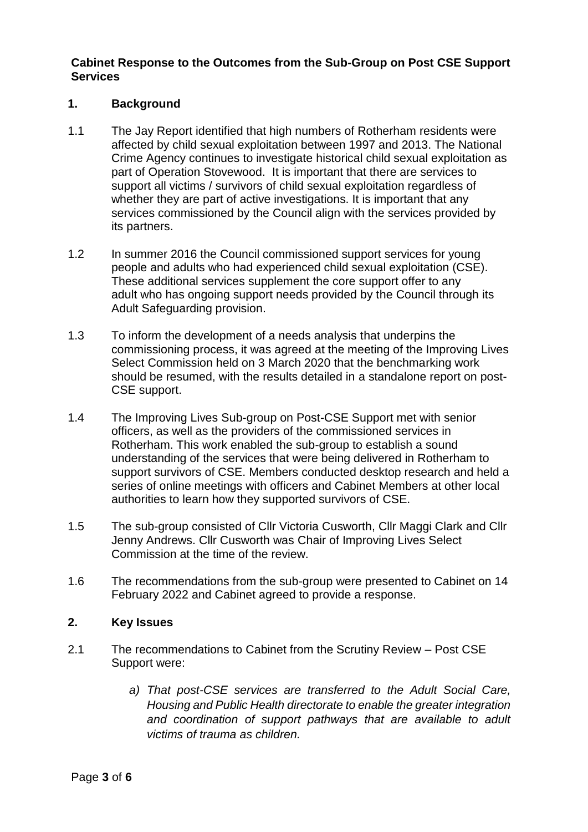## **Cabinet Response to the Outcomes from the Sub-Group on Post CSE Support Services**

## **1. Background**

- 1.1 The Jay Report identified that high numbers of Rotherham residents were affected by child sexual exploitation between 1997 and 2013. The National Crime Agency continues to investigate historical child sexual exploitation as part of Operation Stovewood. It is important that there are services to support all victims / survivors of child sexual exploitation regardless of whether they are part of active investigations. It is important that any services commissioned by the Council align with the services provided by its partners.
- 1.2 In summer 2016 the Council commissioned support services for young people and adults who had experienced child sexual exploitation (CSE). These additional services supplement the core support offer to any adult who has ongoing support needs provided by the Council through its Adult Safeguarding provision.
- 1.3 To inform the development of a needs analysis that underpins the commissioning process, it was agreed at the meeting of the Improving Lives Select Commission held on 3 March 2020 that the benchmarking work should be resumed, with the results detailed in a standalone report on post-CSE support.
- 1.4 The Improving Lives Sub-group on Post-CSE Support met with senior officers, as well as the providers of the commissioned services in Rotherham. This work enabled the sub-group to establish a sound understanding of the services that were being delivered in Rotherham to support survivors of CSE. Members conducted desktop research and held a series of online meetings with officers and Cabinet Members at other local authorities to learn how they supported survivors of CSE.
- 1.5 The sub-group consisted of Cllr Victoria Cusworth, Cllr Maggi Clark and Cllr Jenny Andrews. Cllr Cusworth was Chair of Improving Lives Select Commission at the time of the review.
- 1.6 The recommendations from the sub-group were presented to Cabinet on 14 February 2022 and Cabinet agreed to provide a response.

### **2. Key Issues**

- 2.1 The recommendations to Cabinet from the Scrutiny Review Post CSE Support were:
	- *a) That post-CSE services are transferred to the Adult Social Care, Housing and Public Health directorate to enable the greater integration and coordination of support pathways that are available to adult victims of trauma as children.*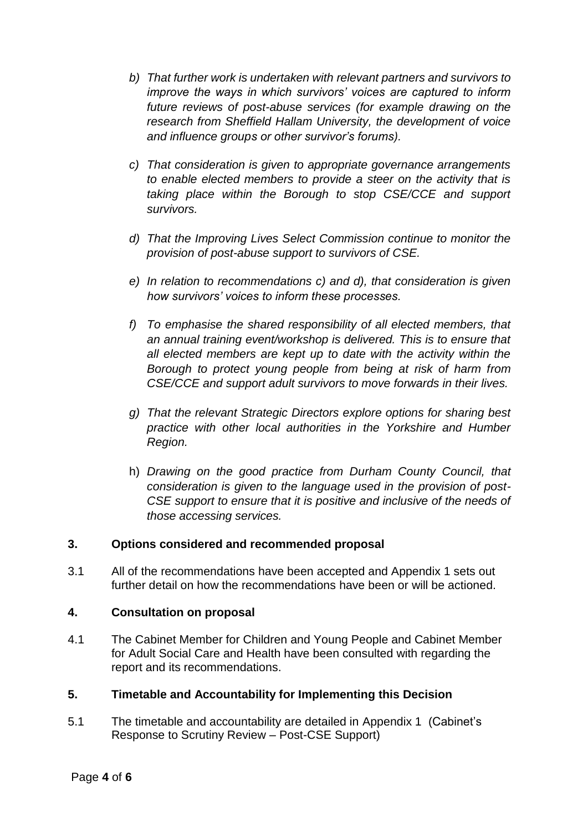- *b) That further work is undertaken with relevant partners and survivors to improve the ways in which survivors' voices are captured to inform future reviews of post-abuse services (for example drawing on the research from Sheffield Hallam University, the development of voice and influence groups or other survivor's forums).*
- *c) That consideration is given to appropriate governance arrangements to enable elected members to provide a steer on the activity that is taking place within the Borough to stop CSE/CCE and support survivors.*
- *d) That the Improving Lives Select Commission continue to monitor the provision of post-abuse support to survivors of CSE.*
- *e) In relation to recommendations c) and d), that consideration is given how survivors' voices to inform these processes.*
- *f) To emphasise the shared responsibility of all elected members, that an annual training event/workshop is delivered. This is to ensure that all elected members are kept up to date with the activity within the Borough to protect young people from being at risk of harm from CSE/CCE and support adult survivors to move forwards in their lives.*
- *g) That the relevant Strategic Directors explore options for sharing best practice with other local authorities in the Yorkshire and Humber Region.*
- h) *Drawing on the good practice from Durham County Council, that consideration is given to the language used in the provision of post-CSE support to ensure that it is positive and inclusive of the needs of those accessing services.*

## **3. Options considered and recommended proposal**

3.1 All of the recommendations have been accepted and Appendix 1 sets out further detail on how the recommendations have been or will be actioned.

# **4. Consultation on proposal**

4.1 The Cabinet Member for Children and Young People and Cabinet Member for Adult Social Care and Health have been consulted with regarding the report and its recommendations.

# **5. Timetable and Accountability for Implementing this Decision**

5.1 The timetable and accountability are detailed in Appendix 1 (Cabinet's Response to Scrutiny Review – Post-CSE Support)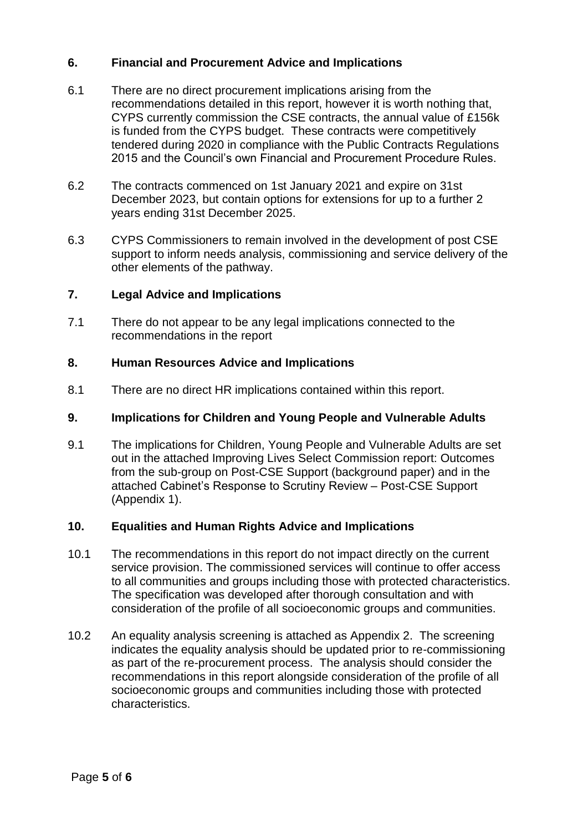# **6. Financial and Procurement Advice and Implications**

- 6.1 There are no direct procurement implications arising from the recommendations detailed in this report, however it is worth nothing that, CYPS currently commission the CSE contracts, the annual value of £156k is funded from the CYPS budget. These contracts were competitively tendered during 2020 in compliance with the Public Contracts Regulations 2015 and the Council's own Financial and Procurement Procedure Rules.
- 6.2 The contracts commenced on 1st January 2021 and expire on 31st December 2023, but contain options for extensions for up to a further 2 years ending 31st December 2025.
- 6.3 CYPS Commissioners to remain involved in the development of post CSE support to inform needs analysis, commissioning and service delivery of the other elements of the pathway.

# **7. Legal Advice and Implications**

7.1 There do not appear to be any legal implications connected to the recommendations in the report

## **8. Human Resources Advice and Implications**

8.1 There are no direct HR implications contained within this report.

### **9. Implications for Children and Young People and Vulnerable Adults**

9.1 The implications for Children, Young People and Vulnerable Adults are set out in the attached Improving Lives Select Commission report: Outcomes from the sub-group on Post-CSE Support (background paper) and in the attached Cabinet's Response to Scrutiny Review – Post-CSE Support (Appendix 1).

## **10. Equalities and Human Rights Advice and Implications**

- 10.1 The recommendations in this report do not impact directly on the current service provision. The commissioned services will continue to offer access to all communities and groups including those with protected characteristics. The specification was developed after thorough consultation and with consideration of the profile of all socioeconomic groups and communities.
- 10.2 An equality analysis screening is attached as Appendix 2. The screening indicates the equality analysis should be updated prior to re-commissioning as part of the re-procurement process. The analysis should consider the recommendations in this report alongside consideration of the profile of all socioeconomic groups and communities including those with protected characteristics.